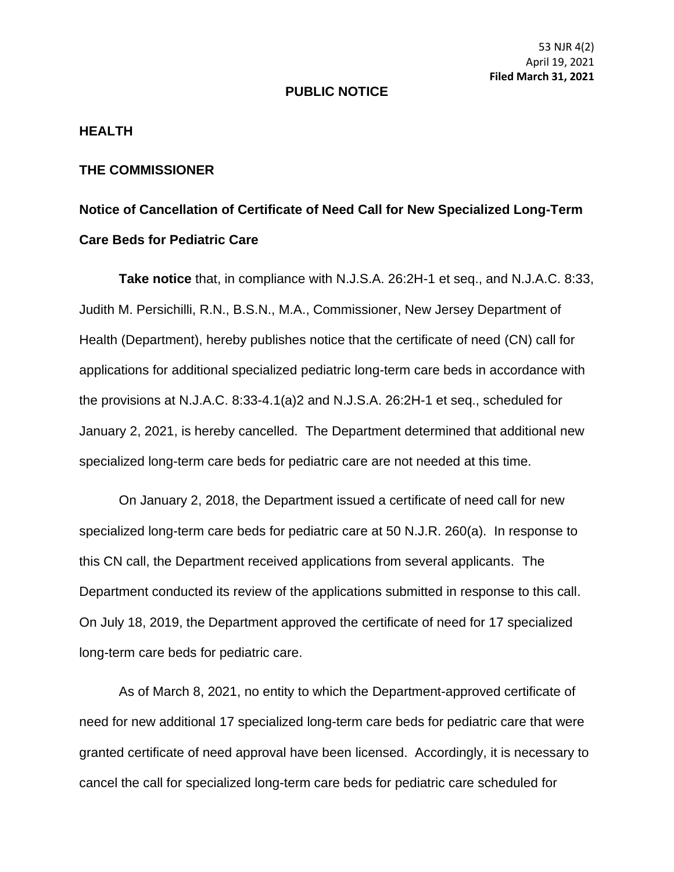53 NJR 4(2) April 19, 2021 **Filed March 31, 2021**

## **PUBLIC NOTICE**

## **HEALTH**

## **THE COMMISSIONER**

## **Notice of Cancellation of Certificate of Need Call for New Specialized Long-Term Care Beds for Pediatric Care**

**Take notice** that, in compliance with N.J.S.A. 26:2H-1 et seq., and N.J.A.C. 8:33, Judith M. Persichilli, R.N., B.S.N., M.A., Commissioner, New Jersey Department of Health (Department), hereby publishes notice that the certificate of need (CN) call for applications for additional specialized pediatric long-term care beds in accordance with the provisions at N.J.A.C. 8:33-4.1(a)2 and N.J.S.A. 26:2H-1 et seq., scheduled for January 2, 2021, is hereby cancelled. The Department determined that additional new specialized long-term care beds for pediatric care are not needed at this time.

On January 2, 2018, the Department issued a certificate of need call for new specialized long-term care beds for pediatric care at 50 N.J.R. 260(a). In response to this CN call, the Department received applications from several applicants. The Department conducted its review of the applications submitted in response to this call. On July 18, 2019, the Department approved the certificate of need for 17 specialized long-term care beds for pediatric care.

As of March 8, 2021, no entity to which the Department-approved certificate of need for new additional 17 specialized long-term care beds for pediatric care that were granted certificate of need approval have been licensed. Accordingly, it is necessary to cancel the call for specialized long-term care beds for pediatric care scheduled for